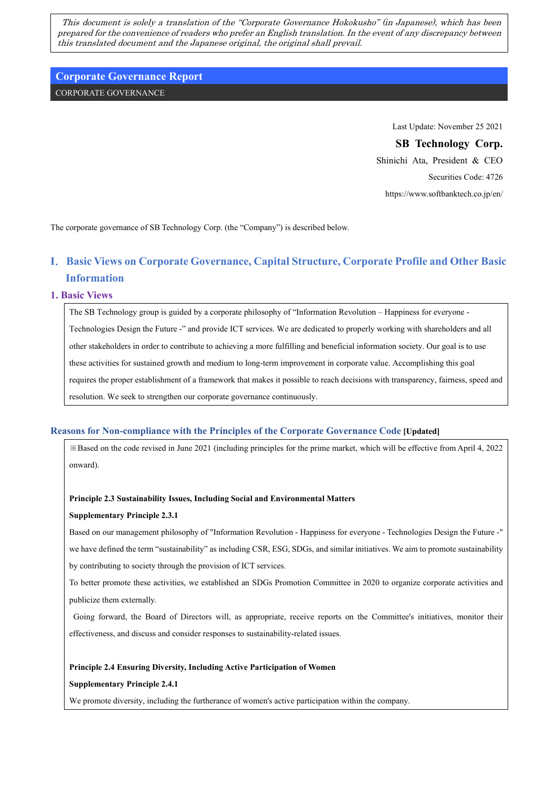This document is solely a translation of the "Corporate Governance Hokokusho" (in Japanese), which has been prepared for the convenience of readers who prefer an English translation. In the event of any discrepancy between this translated document and the Japanese original, the original shall prevail.

# **Corporate Governance Report**

CORPORATE GOVERNANCE

Last Update: November 25 2021

# **SB Technology Corp.**

Shinichi Ata, President & CEO Securities Code: 4726 https://www.softbanktech.co.jp/en/

The corporate governance of SB Technology Corp. (the "Company") is described below.

# **Ⅰ**.**Basic Views on Corporate Governance, Capital Structure, Corporate Profile and Other Basic Information**

## **1. Basic Views**

The SB Technology group is guided by a corporate philosophy of "Information Revolution – Happiness for everyone - Technologies Design the Future -" and provide ICT services. We are dedicated to properly working with shareholders and all other stakeholders in order to contribute to achieving a more fulfilling and beneficial information society. Our goal is to use these activities for sustained growth and medium to long-term improvement in corporate value. Accomplishing this goal requires the proper establishment of a framework that makes it possible to reach decisions with transparency, fairness, speed and resolution. We seek to strengthen our corporate governance continuously.

## **Reasons for Non-compliance with the Principles of the Corporate Governance Code [Updated]**

※Based on the code revised in June 2021 (including principles for the prime market, which will be effective from April 4, 2022 onward).

## **Principle 2.3 Sustainability Issues, Including Social and Environmental Matters**

## **Supplementary Principle 2.3.1**

Based on our management philosophy of "Information Revolution - Happiness for everyone - Technologies Design the Future -" we have defined the term "sustainability" as including CSR, ESG, SDGs, and similar initiatives. We aim to promote sustainability by contributing to society through the provision of ICT services.

To better promote these activities, we established an SDGs Promotion Committee in 2020 to organize corporate activities and publicize them externally.

Going forward, the Board of Directors will, as appropriate, receive reports on the Committee's initiatives, monitor their effectiveness, and discuss and consider responses to sustainability-related issues.

## **Principle 2.4 Ensuring Diversity, Including Active Participation of Women**

## **Supplementary Principle 2.4.1**

We promote diversity, including the furtherance of women's active participation within the company.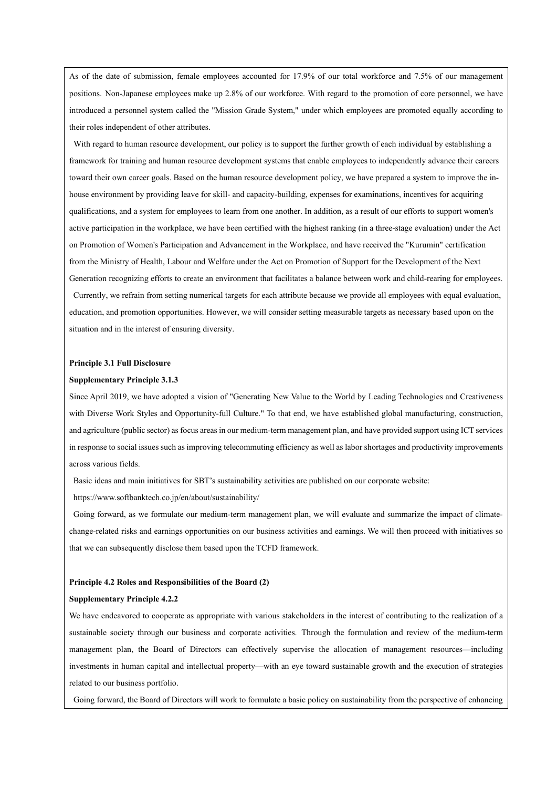As of the date of submission, female employees accounted for 17.9% of our total workforce and 7.5% of our management positions. Non-Japanese employees make up 2.8% of our workforce. With regard to the promotion of core personnel, we have introduced a personnel system called the "Mission Grade System," under which employees are promoted equally according to their roles independent of other attributes.

With regard to human resource development, our policy is to support the further growth of each individual by establishing a framework for training and human resource development systems that enable employees to independently advance their careers toward their own career goals. Based on the human resource development policy, we have prepared a system to improve the inhouse environment by providing leave for skill- and capacity-building, expenses for examinations, incentives for acquiring qualifications, and a system for employees to learn from one another. In addition, as a result of our efforts to support women's active participation in the workplace, we have been certified with the highest ranking (in a three-stage evaluation) under the Act on Promotion of Women's Participation and Advancement in the Workplace, and have received the "Kurumin" certification from the Ministry of Health, Labour and Welfare under the Act on Promotion of Support for the Development of the Next Generation recognizing efforts to create an environment that facilitates a balance between work and child-rearing for employees. Currently, we refrain from setting numerical targets for each attribute because we provide all employees with equal evaluation, education, and promotion opportunities. However, we will consider setting measurable targets as necessary based upon on the situation and in the interest of ensuring diversity.

### **Principle 3.1 Full Disclosure**

### **Supplementary Principle 3.1.3**

Since April 2019, we have adopted a vision of "Generating New Value to the World by Leading Technologies and Creativeness with Diverse Work Styles and Opportunity-full Culture." To that end, we have established global manufacturing, construction, and agriculture (public sector) as focus areas in our medium-term management plan, and have provided support using ICT services in response to social issues such as improving telecommuting efficiency as well as labor shortages and productivity improvements across various fields.

Basic ideas and main initiatives for SBT's sustainability activities are published on our corporate website:

https://www.softbanktech.co.jp/en/about/sustainability/

Going forward, as we formulate our medium-term management plan, we will evaluate and summarize the impact of climatechange-related risks and earnings opportunities on our business activities and earnings. We will then proceed with initiatives so that we can subsequently disclose them based upon the TCFD framework.

### **Principle 4.2 Roles and Responsibilities of the Board (2)**

### **Supplementary Principle 4.2.2**

We have endeavored to cooperate as appropriate with various stakeholders in the interest of contributing to the realization of a sustainable society through our business and corporate activities. Through the formulation and review of the medium-term management plan, the Board of Directors can effectively supervise the allocation of management resources—including investments in human capital and intellectual property—with an eye toward sustainable growth and the execution of strategies related to our business portfolio.

Going forward, the Board of Directors will work to formulate a basic policy on sustainability from the perspective of enhancing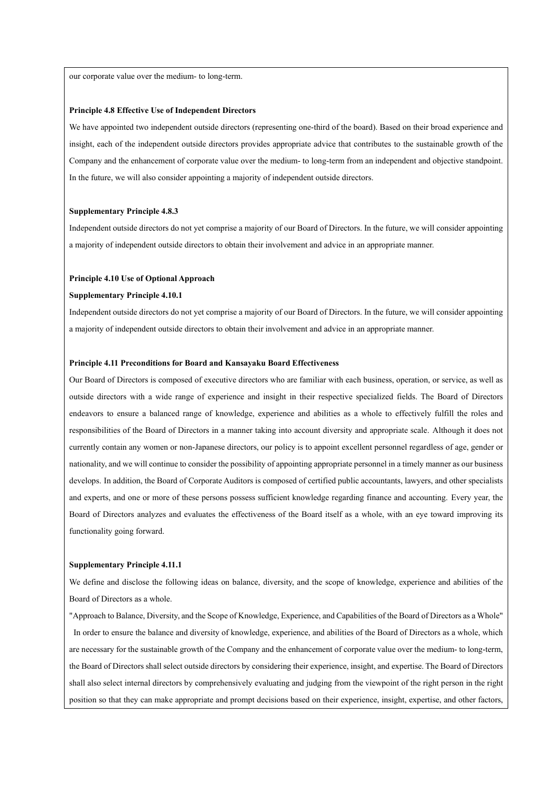our corporate value over the medium- to long-term.

### **Principle 4.8 Effective Use of Independent Directors**

We have appointed two independent outside directors (representing one-third of the board). Based on their broad experience and insight, each of the independent outside directors provides appropriate advice that contributes to the sustainable growth of the Company and the enhancement of corporate value over the medium- to long-term from an independent and objective standpoint. In the future, we will also consider appointing a majority of independent outside directors.

### **Supplementary Principle 4.8.3**

Independent outside directors do not yet comprise a majority of our Board of Directors. In the future, we will consider appointing a majority of independent outside directors to obtain their involvement and advice in an appropriate manner.

### **Principle 4.10 Use of Optional Approach**

#### **Supplementary Principle 4.10.1**

Independent outside directors do not yet comprise a majority of our Board of Directors. In the future, we will consider appointing a majority of independent outside directors to obtain their involvement and advice in an appropriate manner.

### **Principle 4.11 Preconditions for Board and Kansayaku Board Effectiveness**

Our Board of Directors is composed of executive directors who are familiar with each business, operation, or service, as well as outside directors with a wide range of experience and insight in their respective specialized fields. The Board of Directors endeavors to ensure a balanced range of knowledge, experience and abilities as a whole to effectively fulfill the roles and responsibilities of the Board of Directors in a manner taking into account diversity and appropriate scale. Although it does not currently contain any women or non-Japanese directors, our policy is to appoint excellent personnel regardless of age, gender or nationality, and we will continue to consider the possibility of appointing appropriate personnel in a timely manner as our business develops. In addition, the Board of Corporate Auditors is composed of certified public accountants, lawyers, and other specialists and experts, and one or more of these persons possess sufficient knowledge regarding finance and accounting. Every year, the Board of Directors analyzes and evaluates the effectiveness of the Board itself as a whole, with an eye toward improving its functionality going forward.

### **Supplementary Principle 4.11.1**

We define and disclose the following ideas on balance, diversity, and the scope of knowledge, experience and abilities of the Board of Directors as a whole.

"Approach to Balance, Diversity, and the Scope of Knowledge, Experience, and Capabilities of the Board of Directors as a Whole" In order to ensure the balance and diversity of knowledge, experience, and abilities of the Board of Directors as a whole, which are necessary for the sustainable growth of the Company and the enhancement of corporate value over the medium- to long-term, the Board of Directors shall select outside directors by considering their experience, insight, and expertise. The Board of Directors shall also select internal directors by comprehensively evaluating and judging from the viewpoint of the right person in the right position so that they can make appropriate and prompt decisions based on their experience, insight, expertise, and other factors,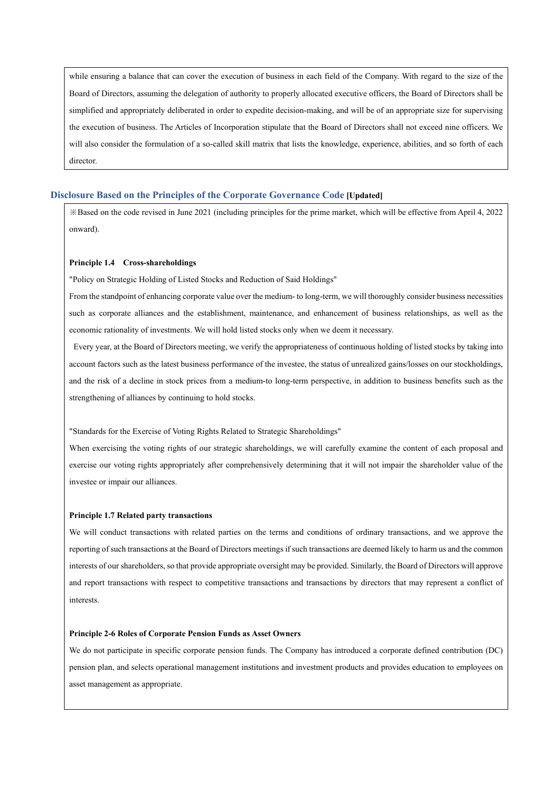while ensuring a balance that can cover the execution of business in each field of the Company. With regard to the size of the Board of Directors, assuming the delegation of authority to properly allocated executive officers, the Board of Directors shall be simplified and appropriately deliberated in order to expedite decision-making, and will be of an appropriate size for supervising the execution of business. The Articles of Incorporation stipulate that the Board of Directors shall not exceed nine officers. We will also consider the formulation of a so-called skill matrix that lists the knowledge, experience, abilities, and so forth of each director.

## **Disclosure Based on the Principles of the Corporate Governance Code [Updated]**

※Based on the code revised in June 2021 (including principles for the prime market, which will be effective from April 4, 2022 onward).

## **Principle 1.4 Cross-shareholdings**

"Policy on Strategic Holding of Listed Stocks and Reduction of Said Holdings"

From the standpoint of enhancing corporate value over the medium- to long-term, we will thoroughly consider business necessities such as corporate alliances and the establishment, maintenance, and enhancement of business relationships, as well as the economic rationality of investments. We will hold listed stocks only when we deem it necessary.

Every year, at the Board of Directors meeting, we verify the appropriateness of continuous holding of listed stocks by taking into account factors such as the latest business performance of the investee, the status of unrealized gains/losses on our stockholdings, and the risk of a decline in stock prices from a medium-to long-term perspective, in addition to business benefits such as the strengthening of alliances by continuing to hold stocks.

"Standards for the Exercise of Voting Rights Related to Strategic Shareholdings"

When exercising the voting rights of our strategic shareholdings, we will carefully examine the content of each proposal and exercise our voting rights appropriately after comprehensively determining that it will not impair the shareholder value of the investee or impair our alliances.

## **Principle 1.7 Related party transactions**

We will conduct transactions with related parties on the terms and conditions of ordinary transactions, and we approve the reporting of such transactions at the Board of Directors meetings if such transactions are deemed likely to harm us and the common interests of our shareholders, so that provide appropriate oversight may be provided. Similarly, the Board of Directors will approve and report transactions with respect to competitive transactions and transactions by directors that may represent a conflict of interests.

## **Principle 2-6 Roles of Corporate Pension Funds as Asset Owners**

We do not participate in specific corporate pension funds. The Company has introduced a corporate defined contribution (DC) pension plan, and selects operational management institutions and investment products and provides education to employees on asset management as appropriate.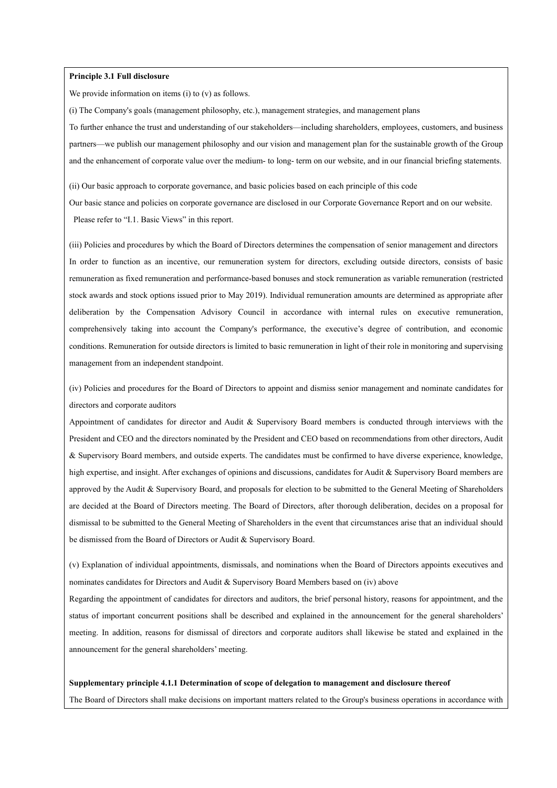## **Principle 3.1 Full disclosure**

We provide information on items (i) to (v) as follows.

(i) The Company's goals (management philosophy, etc.), management strategies, and management plans To further enhance the trust and understanding of our stakeholders—including shareholders, employees, customers, and business partners—we publish our management philosophy and our vision and management plan for the sustainable growth of the Group and the enhancement of corporate value over the medium- to long- term on our website, and in our financial briefing statements.

(ii) Our basic approach to corporate governance, and basic policies based on each principle of this code

Our basic stance and policies on corporate governance are disclosed in our Corporate Governance Report and on our website. Please refer to "I.1. Basic Views" in this report.

(iii) Policies and procedures by which the Board of Directors determines the compensation of senior management and directors In order to function as an incentive, our remuneration system for directors, excluding outside directors, consists of basic remuneration as fixed remuneration and performance-based bonuses and stock remuneration as variable remuneration (restricted stock awards and stock options issued prior to May 2019). Individual remuneration amounts are determined as appropriate after deliberation by the Compensation Advisory Council in accordance with internal rules on executive remuneration, comprehensively taking into account the Company's performance, the executive's degree of contribution, and economic conditions. Remuneration for outside directors is limited to basic remuneration in light of their role in monitoring and supervising management from an independent standpoint.

(iv) Policies and procedures for the Board of Directors to appoint and dismiss senior management and nominate candidates for directors and corporate auditors

Appointment of candidates for director and Audit & Supervisory Board members is conducted through interviews with the President and CEO and the directors nominated by the President and CEO based on recommendations from other directors, Audit & Supervisory Board members, and outside experts. The candidates must be confirmed to have diverse experience, knowledge, high expertise, and insight. After exchanges of opinions and discussions, candidates for Audit & Supervisory Board members are approved by the Audit & Supervisory Board, and proposals for election to be submitted to the General Meeting of Shareholders are decided at the Board of Directors meeting. The Board of Directors, after thorough deliberation, decides on a proposal for dismissal to be submitted to the General Meeting of Shareholders in the event that circumstances arise that an individual should be dismissed from the Board of Directors or Audit & Supervisory Board.

(v) Explanation of individual appointments, dismissals, and nominations when the Board of Directors appoints executives and nominates candidates for Directors and Audit & Supervisory Board Members based on (iv) above

Regarding the appointment of candidates for directors and auditors, the brief personal history, reasons for appointment, and the status of important concurrent positions shall be described and explained in the announcement for the general shareholders' meeting. In addition, reasons for dismissal of directors and corporate auditors shall likewise be stated and explained in the announcement for the general shareholders' meeting.

#### **Supplementary principle 4.1.1 Determination of scope of delegation to management and disclosure thereof**

The Board of Directors shall make decisions on important matters related to the Group's business operations in accordance with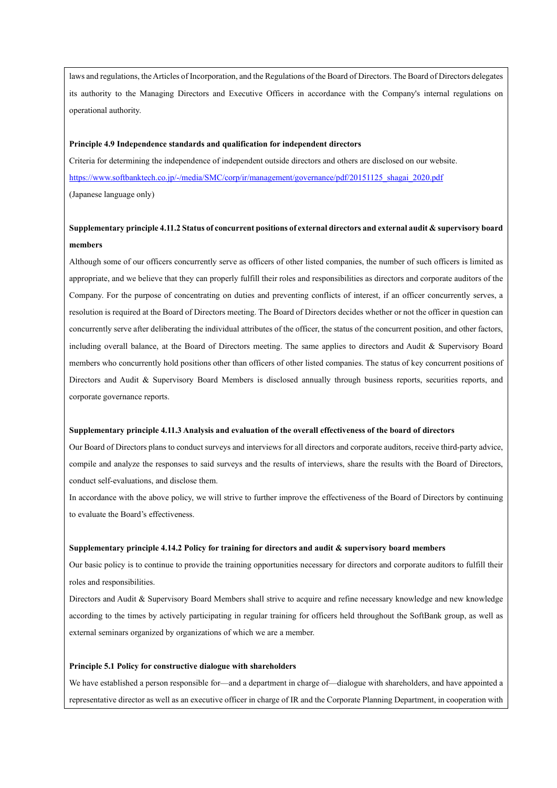laws and regulations, the Articles of Incorporation, and the Regulations of the Board of Directors. The Board of Directors delegates its authority to the Managing Directors and Executive Officers in accordance with the Company's internal regulations on operational authority.

#### **Principle 4.9 Independence standards and qualification for independent directors**

Criteria for determining the independence of independent outside directors and others are disclosed on our website. [https://www.softbanktech.co.jp/-/media/SMC/corp/ir/management/governance/pdf/20151125\\_shagai\\_2020.pdf](https://www.softbanktech.co.jp/-/media/SMC/corp/ir/management/governance/pdf/20151125_shagai_2020.pdf) (Japanese language only)

# **Supplementary principle 4.11.2 Status of concurrent positions of external directors and external audit & supervisory board members**

Although some of our officers concurrently serve as officers of other listed companies, the number of such officers is limited as appropriate, and we believe that they can properly fulfill their roles and responsibilities as directors and corporate auditors of the Company. For the purpose of concentrating on duties and preventing conflicts of interest, if an officer concurrently serves, a resolution is required at the Board of Directors meeting. The Board of Directors decides whether or not the officer in question can concurrently serve after deliberating the individual attributes of the officer, the status of the concurrent position, and other factors, including overall balance, at the Board of Directors meeting. The same applies to directors and Audit & Supervisory Board members who concurrently hold positions other than officers of other listed companies. The status of key concurrent positions of Directors and Audit & Supervisory Board Members is disclosed annually through business reports, securities reports, and corporate governance reports.

### **Supplementary principle 4.11.3 Analysis and evaluation of the overall effectiveness of the board of directors**

Our Board of Directors plans to conduct surveys and interviews for all directors and corporate auditors, receive third-party advice, compile and analyze the responses to said surveys and the results of interviews, share the results with the Board of Directors, conduct self-evaluations, and disclose them.

In accordance with the above policy, we will strive to further improve the effectiveness of the Board of Directors by continuing to evaluate the Board's effectiveness.

### **Supplementary principle 4.14.2 Policy for training for directors and audit & supervisory board members**

Our basic policy is to continue to provide the training opportunities necessary for directors and corporate auditors to fulfill their roles and responsibilities.

Directors and Audit & Supervisory Board Members shall strive to acquire and refine necessary knowledge and new knowledge according to the times by actively participating in regular training for officers held throughout the SoftBank group, as well as external seminars organized by organizations of which we are a member.

### **Principle 5.1 Policy for constructive dialogue with shareholders**

We have established a person responsible for—and a department in charge of—dialogue with shareholders, and have appointed a representative director as well as an executive officer in charge of IR and the Corporate Planning Department, in cooperation with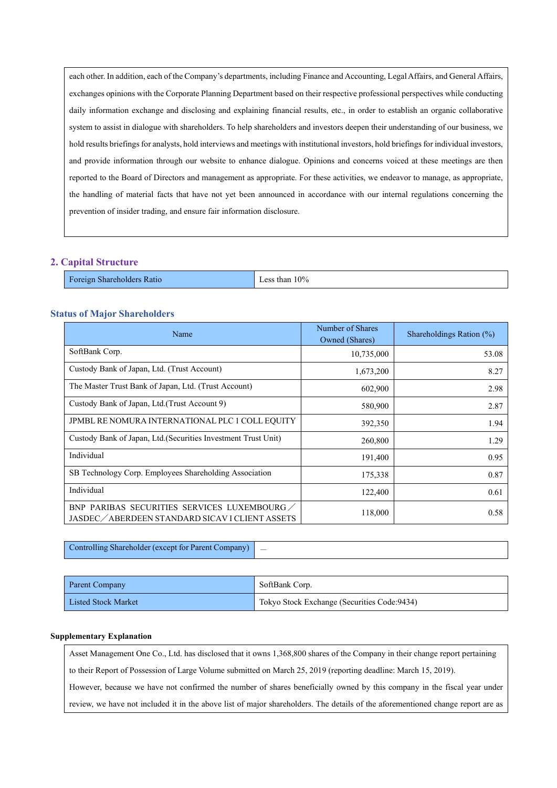each other. In addition, each of the Company's departments, including Finance and Accounting, Legal Affairs, and General Affairs, exchanges opinions with the Corporate Planning Department based on their respective professional perspectives while conducting daily information exchange and disclosing and explaining financial results, etc., in order to establish an organic collaborative system to assist in dialogue with shareholders. To help shareholders and investors deepen their understanding of our business, we hold results briefings for analysts, hold interviews and meetings with institutional investors, hold briefings for individual investors, and provide information through our website to enhance dialogue. Opinions and concerns voiced at these meetings are then reported to the Board of Directors and management as appropriate. For these activities, we endeavor to manage, as appropriate, the handling of material facts that have not yet been announced in accordance with our internal regulations concerning the prevention of insider trading, and ensure fair information disclosure.

## **2. Capital Structure**

Foreign Shareholders Ratio Less than 10%

## **Status of Major Shareholders**

| Name                                                                                           | Number of Shares<br>Owned (Shares) | Shareholdings Ration (%) |
|------------------------------------------------------------------------------------------------|------------------------------------|--------------------------|
| SoftBank Corp.                                                                                 | 10,735,000                         | 53.08                    |
| Custody Bank of Japan, Ltd. (Trust Account)                                                    | 1,673,200                          | 8.27                     |
| The Master Trust Bank of Japan, Ltd. (Trust Account)                                           | 602,900                            | 2.98                     |
| Custody Bank of Japan, Ltd.(Trust Account 9)                                                   | 580,900                            | 2.87                     |
| JPMBL RE NOMURA INTERNATIONAL PLC 1 COLL EQUITY                                                | 392,350                            | 1.94                     |
| Custody Bank of Japan, Ltd. (Securities Investment Trust Unit)                                 | 260,800                            | 1.29                     |
| Individual                                                                                     | 191,400                            | 0.95                     |
| SB Technology Corp. Employees Shareholding Association                                         | 175,338                            | 0.87                     |
| Individual                                                                                     | 122,400                            | 0.61                     |
| BNP PARIBAS SECURITIES SERVICES LUXEMBOURG<br>JASDEC / ABERDEEN STANDARD SICAV I CLIENT ASSETS | 118,000                            | 0.58                     |

Controlling Shareholder (except for Parent Company)

| Parent Company             | SoftBank Corp.                               |
|----------------------------|----------------------------------------------|
| <b>Listed Stock Market</b> | Tokyo Stock Exchange (Securities Code: 9434) |

### **Supplementary Explanation**

Asset Management One Co., Ltd. has disclosed that it owns 1,368,800 shares of the Company in their change report pertaining to their Report of Possession of Large Volume submitted on March 25, 2019 (reporting deadline: March 15, 2019). However, because we have not confirmed the number of shares beneficially owned by this company in the fiscal year under review, we have not included it in the above list of major shareholders. The details of the aforementioned change report are as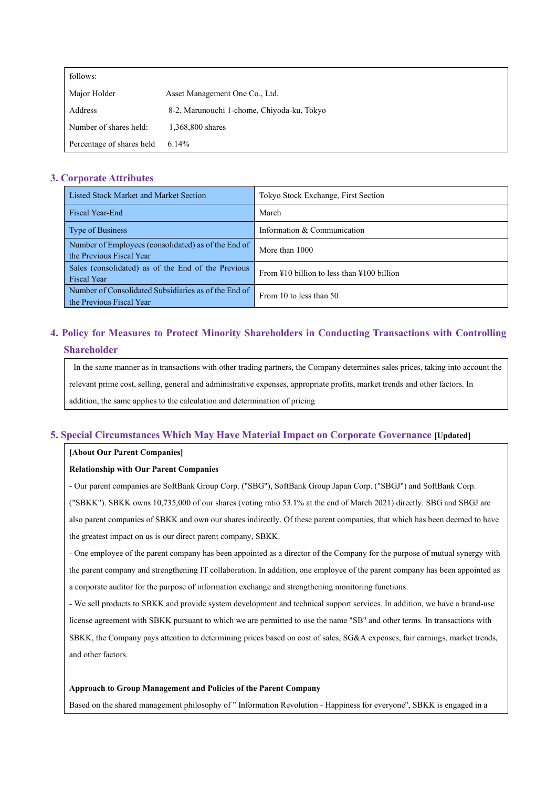| follows:                  |                                            |
|---------------------------|--------------------------------------------|
| Major Holder              | Asset Management One Co., Ltd.             |
| Address                   | 8-2, Marunouchi 1-chome, Chiyoda-ku, Tokyo |
| Number of shares held:    | 1,368,800 shares                           |
| Percentage of shares held | 6.14%                                      |

## **3. Corporate Attributes**

| Listed Stock Market and Market Section                                           | Tokyo Stock Exchange, First Section                                |
|----------------------------------------------------------------------------------|--------------------------------------------------------------------|
| Fiscal Year-End                                                                  | March                                                              |
| <b>Type of Business</b>                                                          | Information & Communication                                        |
| Number of Employees (consolidated) as of the End of<br>the Previous Fiscal Year  | More than 1000                                                     |
| Sales (consolidated) as of the End of the Previous<br><b>Fiscal Year</b>         | From $\frac{1}{2}10$ billion to less than $\frac{1}{2}100$ billion |
| Number of Consolidated Subsidiaries as of the End of<br>the Previous Fiscal Year | From 10 to less than 50                                            |

# **4. Policy for Measures to Protect Minority Shareholders in Conducting Transactions with Controlling Shareholder**

In the same manner as in transactions with other trading partners, the Company determines sales prices, taking into account the relevant prime cost, selling, general and administrative expenses, appropriate profits, market trends and other factors. In addition, the same applies to the calculation and determination of pricing

## **5. Special Circumstances Which May Have Material Impact on Corporate Governance [Updated]**

## **[About Our Parent Companies]**

## **Relationship with Our Parent Companies**

- Our parent companies are SoftBank Group Corp. ("SBG"), SoftBank Group Japan Corp. ("SBGJ") and SoftBank Corp. ("SBKK"). SBKK owns 10,735,000 of our shares (voting ratio 53.1% at the end of March 2021) directly. SBG and SBGJ are also parent companies of SBKK and own our shares indirectly. Of these parent companies, that which has been deemed to have the greatest impact on us is our direct parent company, SBKK.

- One employee of the parent company has been appointed as a director of the Company for the purpose of mutual synergy with the parent company and strengthening IT collaboration. In addition, one employee of the parent company has been appointed as a corporate auditor for the purpose of information exchange and strengthening monitoring functions.

- We sell products to SBKK and provide system development and technical support services. In addition, we have a brand-use

license agreement with SBKK pursuant to which we are permitted to use the name "SB" and other terms. In transactions with

SBKK, the Company pays attention to determining prices based on cost of sales, SG&A expenses, fair earnings, market trends, and other factors.

## **Approach to Group Management and Policies of the Parent Company**

Based on the shared management philosophy of " Information Revolution - Happiness for everyone", SBKK is engaged in a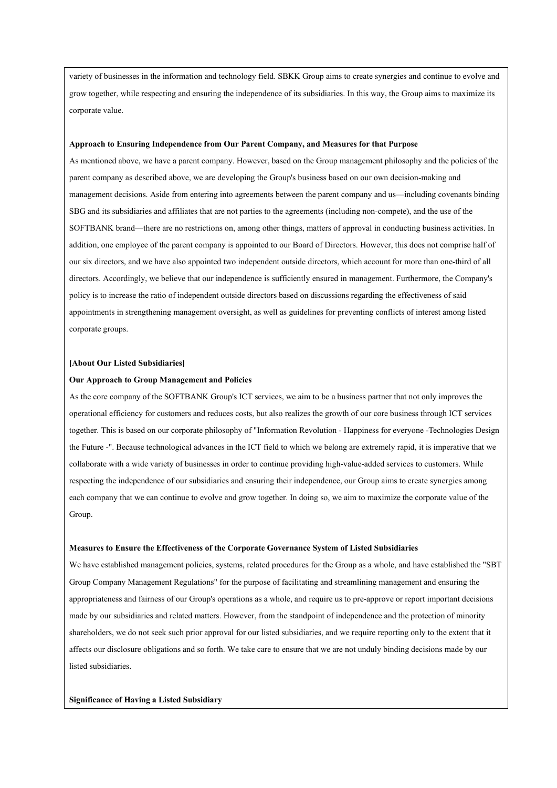variety of businesses in the information and technology field. SBKK Group aims to create synergies and continue to evolve and grow together, while respecting and ensuring the independence of its subsidiaries. In this way, the Group aims to maximize its corporate value.

#### **Approach to Ensuring Independence from Our Parent Company, and Measures for that Purpose**

As mentioned above, we have a parent company. However, based on the Group management philosophy and the policies of the parent company as described above, we are developing the Group's business based on our own decision-making and management decisions. Aside from entering into agreements between the parent company and us—including covenants binding SBG and its subsidiaries and affiliates that are not parties to the agreements (including non-compete), and the use of the SOFTBANK brand—there are no restrictions on, among other things, matters of approval in conducting business activities. In addition, one employee of the parent company is appointed to our Board of Directors. However, this does not comprise half of our six directors, and we have also appointed two independent outside directors, which account for more than one-third of all directors. Accordingly, we believe that our independence is sufficiently ensured in management. Furthermore, the Company's policy is to increase the ratio of independent outside directors based on discussions regarding the effectiveness of said appointments in strengthening management oversight, as well as guidelines for preventing conflicts of interest among listed corporate groups.

### **[About Our Listed Subsidiaries]**

### **Our Approach to Group Management and Policies**

As the core company of the SOFTBANK Group's ICT services, we aim to be a business partner that not only improves the operational efficiency for customers and reduces costs, but also realizes the growth of our core business through ICT services together. This is based on our corporate philosophy of "Information Revolution - Happiness for everyone -Technologies Design the Future -". Because technological advances in the ICT field to which we belong are extremely rapid, it is imperative that we collaborate with a wide variety of businesses in order to continue providing high-value-added services to customers. While respecting the independence of our subsidiaries and ensuring their independence, our Group aims to create synergies among each company that we can continue to evolve and grow together. In doing so, we aim to maximize the corporate value of the Group.

#### **Measures to Ensure the Effectiveness of the Corporate Governance System of Listed Subsidiaries**

We have established management policies, systems, related procedures for the Group as a whole, and have established the "SBT Group Company Management Regulations" for the purpose of facilitating and streamlining management and ensuring the appropriateness and fairness of our Group's operations as a whole, and require us to pre-approve or report important decisions made by our subsidiaries and related matters. However, from the standpoint of independence and the protection of minority shareholders, we do not seek such prior approval for our listed subsidiaries, and we require reporting only to the extent that it affects our disclosure obligations and so forth. We take care to ensure that we are not unduly binding decisions made by our listed subsidiaries.

## **Significance of Having a Listed Subsidiary**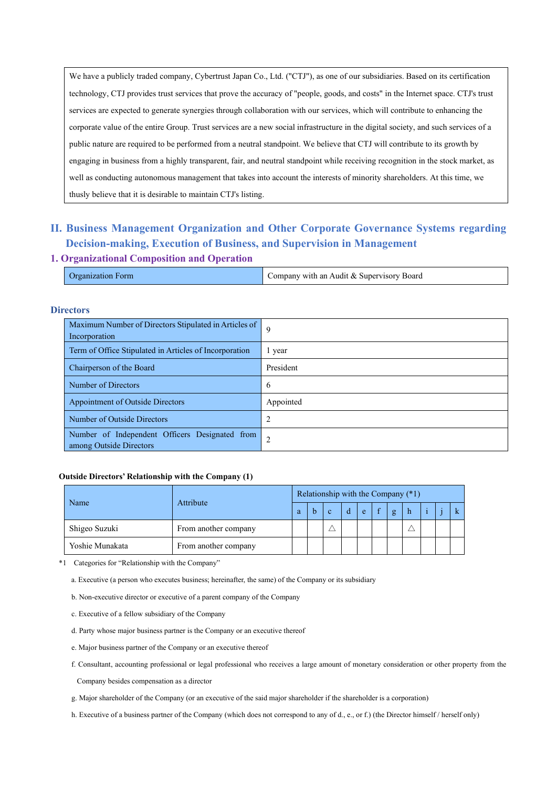We have a publicly traded company, Cybertrust Japan Co., Ltd. ("CTJ"), as one of our subsidiaries. Based on its certification technology, CTJ provides trust services that prove the accuracy of "people, goods, and costs" in the Internet space. CTJ's trust services are expected to generate synergies through collaboration with our services, which will contribute to enhancing the corporate value of the entire Group. Trust services are a new social infrastructure in the digital society, and such services of a public nature are required to be performed from a neutral standpoint. We believe that CTJ will contribute to its growth by engaging in business from a highly transparent, fair, and neutral standpoint while receiving recognition in the stock market, as well as conducting autonomous management that takes into account the interests of minority shareholders. At this time, we thusly believe that it is desirable to maintain CTJ's listing.

# **II. Business Management Organization and Other Corporate Governance Systems regarding Decision-making, Execution of Business, and Supervision in Management**

## **1. Organizational Composition and Operation**

| .)rganization<br>Form | Company with an Audit & Supervisory Board |
|-----------------------|-------------------------------------------|
|                       |                                           |

## **Directors**

| Maximum Number of Directors Stipulated in Articles of<br>Incorporation    | -9        |
|---------------------------------------------------------------------------|-----------|
| Term of Office Stipulated in Articles of Incorporation                    | vear      |
| Chairperson of the Board                                                  | President |
| Number of Directors                                                       | 6         |
| <b>Appointment of Outside Directors</b>                                   | Appointed |
| Number of Outside Directors                                               | 2         |
| Number of Independent Officers Designated from<br>among Outside Directors | 2         |

## **Outside Directors' Relationship with the Company (1)**

|                 | Attribute            |  | Relationship with the Company (*1) |  |  |    |  |   |  |  |  |  |
|-----------------|----------------------|--|------------------------------------|--|--|----|--|---|--|--|--|--|
| Name            |                      |  |                                    |  |  | e. |  | g |  |  |  |  |
| Shigeo Suzuki   | From another company |  |                                    |  |  |    |  |   |  |  |  |  |
| Yoshie Munakata | From another company |  |                                    |  |  |    |  |   |  |  |  |  |

\*1 Categories for "Relationship with the Company"

a. Executive (a person who executes business; hereinafter, the same) of the Company or its subsidiary

b. Non-executive director or executive of a parent company of the Company

- c. Executive of a fellow subsidiary of the Company
- d. Party whose major business partner is the Company or an executive thereof
- e. Major business partner of the Company or an executive thereof
- f. Consultant, accounting professional or legal professional who receives a large amount of monetary consideration or other property from the

Company besides compensation as a director

g. Major shareholder of the Company (or an executive of the said major shareholder if the shareholder is a corporation)

h. Executive of a business partner of the Company (which does not correspond to any of d., e., or f.) (the Director himself / herself only)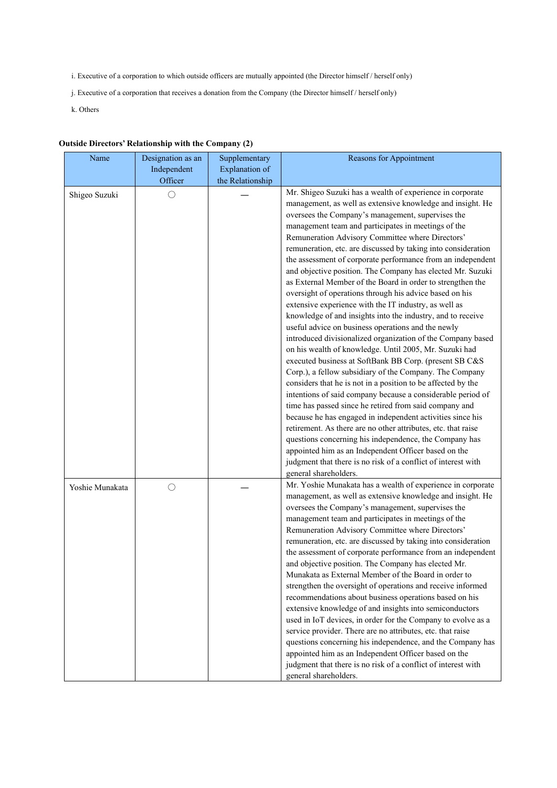- i. Executive of a corporation to which outside officers are mutually appointed (the Director himself / herself only)
- j. Executive of a corporation that receives a donation from the Company (the Director himself / herself only)
- k. Others

## **Outside Directors' Relationship with the Company (2)**

| Name            | Designation as an | Supplementary    | Reasons for Appointment                                                                                           |
|-----------------|-------------------|------------------|-------------------------------------------------------------------------------------------------------------------|
|                 | Independent       | Explanation of   |                                                                                                                   |
|                 | Officer           | the Relationship |                                                                                                                   |
| Shigeo Suzuki   | $\bigcirc$        |                  | Mr. Shigeo Suzuki has a wealth of experience in corporate                                                         |
|                 |                   |                  | management, as well as extensive knowledge and insight. He                                                        |
|                 |                   |                  | oversees the Company's management, supervises the                                                                 |
|                 |                   |                  | management team and participates in meetings of the                                                               |
|                 |                   |                  | Remuneration Advisory Committee where Directors'<br>remuneration, etc. are discussed by taking into consideration |
|                 |                   |                  | the assessment of corporate performance from an independent                                                       |
|                 |                   |                  | and objective position. The Company has elected Mr. Suzuki                                                        |
|                 |                   |                  | as External Member of the Board in order to strengthen the                                                        |
|                 |                   |                  | oversight of operations through his advice based on his                                                           |
|                 |                   |                  | extensive experience with the IT industry, as well as                                                             |
|                 |                   |                  | knowledge of and insights into the industry, and to receive                                                       |
|                 |                   |                  | useful advice on business operations and the newly                                                                |
|                 |                   |                  | introduced divisionalized organization of the Company based                                                       |
|                 |                   |                  | on his wealth of knowledge. Until 2005, Mr. Suzuki had                                                            |
|                 |                   |                  | executed business at SoftBank BB Corp. (present SB C&S                                                            |
|                 |                   |                  | Corp.), a fellow subsidiary of the Company. The Company                                                           |
|                 |                   |                  | considers that he is not in a position to be affected by the                                                      |
|                 |                   |                  | intentions of said company because a considerable period of                                                       |
|                 |                   |                  | time has passed since he retired from said company and                                                            |
|                 |                   |                  | because he has engaged in independent activities since his                                                        |
|                 |                   |                  | retirement. As there are no other attributes, etc. that raise                                                     |
|                 |                   |                  | questions concerning his independence, the Company has                                                            |
|                 |                   |                  | appointed him as an Independent Officer based on the                                                              |
|                 |                   |                  | judgment that there is no risk of a conflict of interest with<br>general shareholders.                            |
|                 |                   |                  | Mr. Yoshie Munakata has a wealth of experience in corporate                                                       |
| Yoshie Munakata | $\bigcirc$        |                  | management, as well as extensive knowledge and insight. He                                                        |
|                 |                   |                  | oversees the Company's management, supervises the                                                                 |
|                 |                   |                  | management team and participates in meetings of the                                                               |
|                 |                   |                  | Remuneration Advisory Committee where Directors'                                                                  |
|                 |                   |                  | remuneration, etc. are discussed by taking into consideration                                                     |
|                 |                   |                  | the assessment of corporate performance from an independent                                                       |
|                 |                   |                  | and objective position. The Company has elected Mr.                                                               |
|                 |                   |                  | Munakata as External Member of the Board in order to                                                              |
|                 |                   |                  | strengthen the oversight of operations and receive informed                                                       |
|                 |                   |                  | recommendations about business operations based on his                                                            |
|                 |                   |                  | extensive knowledge of and insights into semiconductors                                                           |
|                 |                   |                  | used in IoT devices, in order for the Company to evolve as a                                                      |
|                 |                   |                  | service provider. There are no attributes, etc. that raise                                                        |
|                 |                   |                  | questions concerning his independence, and the Company has                                                        |
|                 |                   |                  | appointed him as an Independent Officer based on the                                                              |
|                 |                   |                  | judgment that there is no risk of a conflict of interest with                                                     |
|                 |                   |                  | general shareholders.                                                                                             |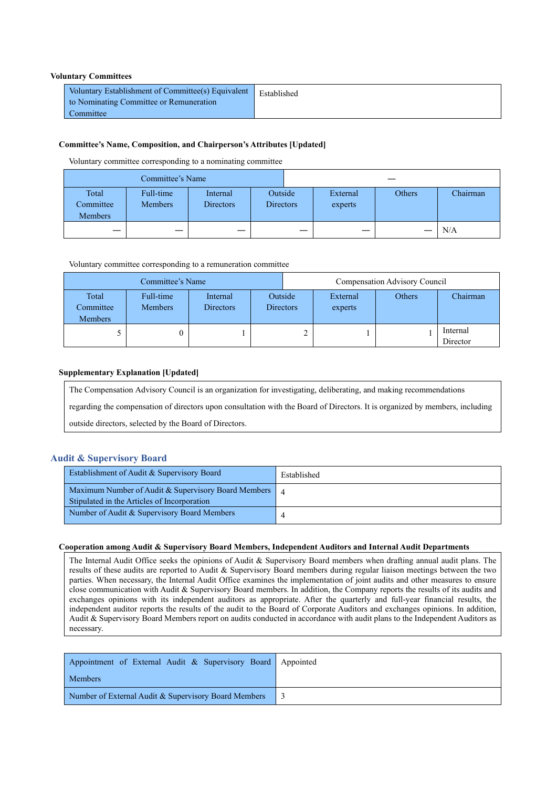## **Voluntary Committees**

| Voluntary Establishment of Committee(s) Equivalent   Established<br>to Nominating Committee or Remuneration |  |
|-------------------------------------------------------------------------------------------------------------|--|
| Committee                                                                                                   |  |

## **Committee's Name, Composition, and Chairperson's Attributes [Updated]**

Voluntary committee corresponding to a nominating committee

|                                      | Committee's Name            |                              |                                                    |   |        |          |
|--------------------------------------|-----------------------------|------------------------------|----------------------------------------------------|---|--------|----------|
| Total<br>Committee<br><b>Members</b> | Full-time<br><b>Members</b> | Internal<br><b>Directors</b> | Outside<br>External<br><b>Directors</b><br>experts |   | Others | Chairman |
|                                      | –                           |                              |                                                    | – |        | N/A      |

Voluntary committee corresponding to a remuneration committee

|                               | Committee's Name            |                              |                             | Compensation Advisory Council |                     |        |                      |
|-------------------------------|-----------------------------|------------------------------|-----------------------------|-------------------------------|---------------------|--------|----------------------|
| Total<br>Committee<br>Members | Full-time<br><b>Members</b> | Internal<br><b>Directors</b> | Outside<br><b>Directors</b> |                               | External<br>experts | Others | Chairman             |
|                               | 0                           |                              |                             |                               |                     |        | Internal<br>Director |

## **Supplementary Explanation [Updated]**

The Compensation Advisory Council is an organization for investigating, deliberating, and making recommendations

regarding the compensation of directors upon consultation with the Board of Directors. It is organized by members, including

outside directors, selected by the Board of Directors.

## **Audit & Supervisory Board**

| Establishment of Audit & Supervisory Board                                                         | Established |
|----------------------------------------------------------------------------------------------------|-------------|
| Maximum Number of Audit & Supervisory Board Members<br>Stipulated in the Articles of Incorporation |             |
| Number of Audit & Supervisory Board Members                                                        |             |

## **Cooperation among Audit & Supervisory Board Members, Independent Auditors and Internal Audit Departments**

The Internal Audit Office seeks the opinions of Audit & Supervisory Board members when drafting annual audit plans. The results of these audits are reported to Audit & Supervisory Board members during regular liaison meetings between the two parties. When necessary, the Internal Audit Office examines the implementation of joint audits and other measures to ensure close communication with Audit & Supervisory Board members. In addition, the Company reports the results of its audits and exchanges opinions with its independent auditors as appropriate. After the quarterly and full-year financial results, the independent auditor reports the results of the audit to the Board of Corporate Auditors and exchanges opinions. In addition, Audit & Supervisory Board Members report on audits conducted in accordance with audit plans to the Independent Auditors as necessary.

| Appointment of External Audit & Supervisory Board Appointed |  |
|-------------------------------------------------------------|--|
| <b>Members</b>                                              |  |
| Number of External Audit & Supervisory Board Members        |  |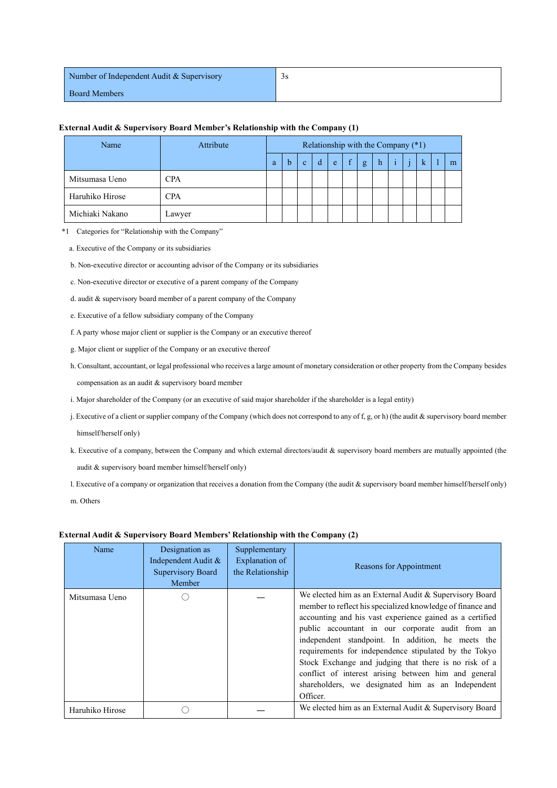| Number of Independent Audit & Supervisory | 3S |
|-------------------------------------------|----|
| <b>Board Members</b>                      |    |

| Name            | Attribute  |   | Relationship with the Company (*1) |              |   |       |   |   |   |   |   |   |
|-----------------|------------|---|------------------------------------|--------------|---|-------|---|---|---|---|---|---|
|                 |            | a | b                                  | $\mathbf{C}$ | d | $-e7$ | f | g | h | ï | k | m |
| Mitsumasa Ueno  | <b>CPA</b> |   |                                    |              |   |       |   |   |   |   |   |   |
| Haruhiko Hirose | <b>CPA</b> |   |                                    |              |   |       |   |   |   |   |   |   |
| Michiaki Nakano | Lawyer     |   |                                    |              |   |       |   |   |   |   |   |   |

## **External Audit & Supervisory Board Member's Relationship with the Company (1)**

\*1 Categories for "Relationship with the Company"

a. Executive of the Company or its subsidiaries

b. Non-executive director or accounting advisor of the Company or its subsidiaries

- c. Non-executive director or executive of a parent company of the Company
- d. audit & supervisory board member of a parent company of the Company
- e. Executive of a fellow subsidiary company of the Company
- f. A party whose major client or supplier is the Company or an executive thereof
- g. Major client or supplier of the Company or an executive thereof
- h. Consultant, accountant, or legal professional who receives a large amount of monetary consideration or other property from the Company besides compensation as an audit & supervisory board member
- i. Major shareholder of the Company (or an executive of said major shareholder if the shareholder is a legal entity)
- j. Executive of a client or supplier company of the Company (which does not correspond to any of f, g, or h) (the audit & supervisory board member himself/herself only)
- k. Executive of a company, between the Company and which external directors/audit & supervisory board members are mutually appointed (the audit & supervisory board member himself/herself only)
- l. Executive of a company or organization that receives a donation from the Company (the audit & supervisory board member himself/herself only)

m. Others

### **External Audit & Supervisory Board Members' Relationship with the Company (2)**

| Name            | Designation as<br>Independent Audit &<br>Supervisory Board<br>Member | Supplementary<br>Explanation of<br>the Relationship | Reasons for Appointment                                                                                                                                                                                                                                                                                                                                                                                                                                                                                                               |
|-----------------|----------------------------------------------------------------------|-----------------------------------------------------|---------------------------------------------------------------------------------------------------------------------------------------------------------------------------------------------------------------------------------------------------------------------------------------------------------------------------------------------------------------------------------------------------------------------------------------------------------------------------------------------------------------------------------------|
| Mitsumasa Ueno  |                                                                      |                                                     | We elected him as an External Audit & Supervisory Board<br>member to reflect his specialized knowledge of finance and<br>accounting and his vast experience gained as a certified<br>public accountant in our corporate audit from an<br>independent standpoint. In addition, he meets the<br>requirements for independence stipulated by the Tokyo<br>Stock Exchange and judging that there is no risk of a<br>conflict of interest arising between him and general<br>shareholders, we designated him as an Independent<br>Officer. |
| Haruhiko Hirose |                                                                      |                                                     | We elected him as an External Audit & Supervisory Board                                                                                                                                                                                                                                                                                                                                                                                                                                                                               |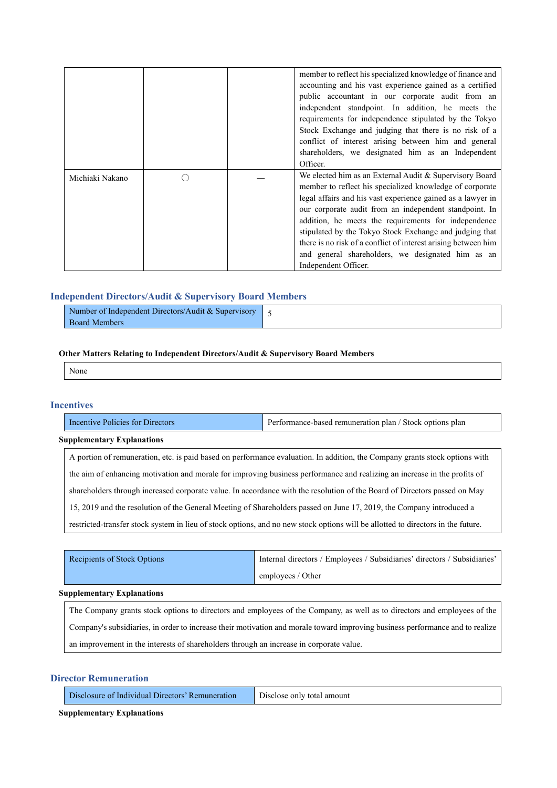|                 |  | member to reflect his specialized knowledge of finance and<br>accounting and his vast experience gained as a certified<br>public accountant in our corporate audit from an<br>independent standpoint. In addition, he meets the<br>requirements for independence stipulated by the Tokyo<br>Stock Exchange and judging that there is no risk of a<br>conflict of interest arising between him and general<br>shareholders, we designated him as an Independent<br>Officer.                                     |
|-----------------|--|----------------------------------------------------------------------------------------------------------------------------------------------------------------------------------------------------------------------------------------------------------------------------------------------------------------------------------------------------------------------------------------------------------------------------------------------------------------------------------------------------------------|
| Michiaki Nakano |  | We elected him as an External Audit & Supervisory Board<br>member to reflect his specialized knowledge of corporate<br>legal affairs and his vast experience gained as a lawyer in<br>our corporate audit from an independent standpoint. In<br>addition, he meets the requirements for independence<br>stipulated by the Tokyo Stock Exchange and judging that<br>there is no risk of a conflict of interest arising between him<br>and general shareholders, we designated him as an<br>Independent Officer. |

## **Independent Directors/Audit & Supervisory Board Members**

| Number of Independent Directors/Audit & Supervisory |  |
|-----------------------------------------------------|--|
| <b>Board Members</b>                                |  |

## **Other Matters Relating to Independent Directors/Audit & Supervisory Board Members**

None

## **Incentives**

| Incentive Policies for Directors  | Performance-based remuneration plan / Stock options plan |
|-----------------------------------|----------------------------------------------------------|
| <b>Supplementary Explanations</b> |                                                          |

A portion of remuneration, etc. is paid based on performance evaluation. In addition, the Company grants stock options with the aim of enhancing motivation and morale for improving business performance and realizing an increase in the profits of shareholders through increased corporate value. In accordance with the resolution of the Board of Directors passed on May 15, 2019 and the resolution of the General Meeting of Shareholders passed on June 17, 2019, the Company introduced a restricted-transfer stock system in lieu of stock options, and no new stock options will be allotted to directors in the future.

| Recipients of Stock Options | Internal directors / Employees / Subsidiaries' directors / Subsidiaries' |
|-----------------------------|--------------------------------------------------------------------------|
|                             | employees / Other                                                        |

### **Supplementary Explanations**

The Company grants stock options to directors and employees of the Company, as well as to directors and employees of the Company's subsidiaries, in order to increase their motivation and morale toward improving business performance and to realize an improvement in the interests of shareholders through an increase in corporate value.

## **Director Remuneration**

| Disclosure of Individual Directors' Remuneration Disclose only total amount |  |
|-----------------------------------------------------------------------------|--|
|-----------------------------------------------------------------------------|--|

**Supplementary Explanations**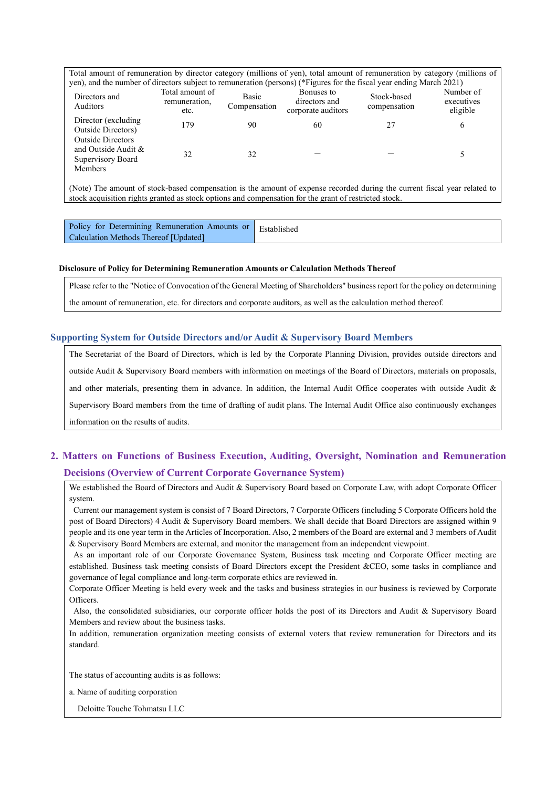| Total amount of remuneration by director category (millions of yen), total amount of remuneration by category (millions of |  |  |
|----------------------------------------------------------------------------------------------------------------------------|--|--|
| yen), and the number of directors subject to remuneration (persons) (*Figures for the fiscal year ending March 2021)       |  |  |

| $\mu$ , and the number of uncertain public to remaindance (persons) ( $\mu$ igares for the notar year entails, march 2021)<br>Directors and<br>Auditors | Total amount of<br>remuneration,<br>etc. | Basic<br>Compensation | Bonuses to<br>directors and<br>corporate auditors | Stock-based<br>compensation | Number of<br>executives<br>eligible |
|---------------------------------------------------------------------------------------------------------------------------------------------------------|------------------------------------------|-----------------------|---------------------------------------------------|-----------------------------|-------------------------------------|
| Director (excluding)<br>Outside Directors)<br><b>Outside Directors</b>                                                                                  | 179                                      | 90                    | 60                                                |                             | O                                   |
| and Outside Audit &<br>Supervisory Board<br>Members                                                                                                     | 32                                       | 32                    |                                                   |                             |                                     |

(Note) The amount of stock-based compensation is the amount of expense recorded during the current fiscal year related to stock acquisition rights granted as stock options and compensation for the grant of restricted stock.

| Policy for Determining Remuneration Amounts or Established |  |
|------------------------------------------------------------|--|
| Calculation Methods Thereof [Updated]                      |  |

## **Disclosure of Policy for Determining Remuneration Amounts or Calculation Methods Thereof**

Please refer to the "Notice of Convocation of the General Meeting of Shareholders" business report for the policy on determining the amount of remuneration, etc. for directors and corporate auditors, as well as the calculation method thereof.

## **Supporting System for Outside Directors and/or Audit & Supervisory Board Members**

The Secretariat of the Board of Directors, which is led by the Corporate Planning Division, provides outside directors and outside Audit & Supervisory Board members with information on meetings of the Board of Directors, materials on proposals, and other materials, presenting them in advance. In addition, the Internal Audit Office cooperates with outside Audit & Supervisory Board members from the time of drafting of audit plans. The Internal Audit Office also continuously exchanges information on the results of audits.

# **2. Matters on Functions of Business Execution, Auditing, Oversight, Nomination and Remuneration Decisions (Overview of Current Corporate Governance System)**

We established the Board of Directors and Audit & Supervisory Board based on Corporate Law, with adopt Corporate Officer system.

Current our management system is consist of 7 Board Directors, 7 Corporate Officers (including 5 Corporate Officers hold the post of Board Directors) 4 Audit & Supervisory Board members. We shall decide that Board Directors are assigned within 9 people and its one year term in the Articles of Incorporation. Also, 2 members of the Board are external and 3 members of Audit & Supervisory Board Members are external, and monitor the management from an independent viewpoint.

As an important role of our Corporate Governance System, Business task meeting and Corporate Officer meeting are established. Business task meeting consists of Board Directors except the President &CEO, some tasks in compliance and governance of legal compliance and long-term corporate ethics are reviewed in.

Corporate Officer Meeting is held every week and the tasks and business strategies in our business is reviewed by Corporate Officers.

Also, the consolidated subsidiaries, our corporate officer holds the post of its Directors and Audit & Supervisory Board Members and review about the business tasks.

In addition, remuneration organization meeting consists of external voters that review remuneration for Directors and its standard.

The status of accounting audits is as follows:

a. Name of auditing corporation

Deloitte Touche Tohmatsu LLC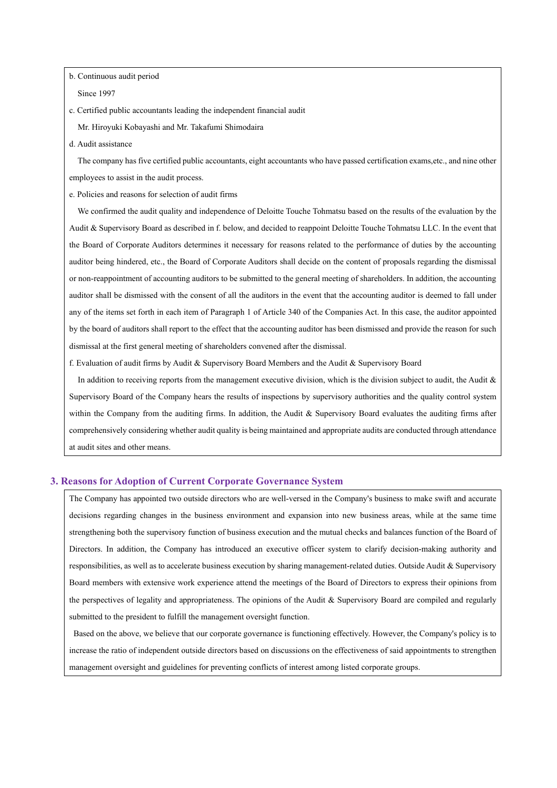b. Continuous audit period

Since 1997

c. Certified public accountants leading the independent financial audit

Mr. Hiroyuki Kobayashi and Mr. Takafumi Shimodaira

d. Audit assistance

The company has five certified public accountants, eight accountants who have passed certification exams,etc., and nine other employees to assist in the audit process.

e. Policies and reasons for selection of audit firms

We confirmed the audit quality and independence of Deloitte Touche Tohmatsu based on the results of the evaluation by the Audit & Supervisory Board as described in f. below, and decided to reappoint Deloitte Touche Tohmatsu LLC. In the event that the Board of Corporate Auditors determines it necessary for reasons related to the performance of duties by the accounting auditor being hindered, etc., the Board of Corporate Auditors shall decide on the content of proposals regarding the dismissal or non-reappointment of accounting auditors to be submitted to the general meeting of shareholders. In addition, the accounting auditor shall be dismissed with the consent of all the auditors in the event that the accounting auditor is deemed to fall under any of the items set forth in each item of Paragraph 1 of Article 340 of the Companies Act. In this case, the auditor appointed by the board of auditors shall report to the effect that the accounting auditor has been dismissed and provide the reason for such dismissal at the first general meeting of shareholders convened after the dismissal.

f. Evaluation of audit firms by Audit & Supervisory Board Members and the Audit & Supervisory Board

In addition to receiving reports from the management executive division, which is the division subject to audit, the Audit & Supervisory Board of the Company hears the results of inspections by supervisory authorities and the quality control system within the Company from the auditing firms. In addition, the Audit & Supervisory Board evaluates the auditing firms after comprehensively considering whether audit quality is being maintained and appropriate audits are conducted through attendance at audit sites and other means.

## **3. Reasons for Adoption of Current Corporate Governance System**

The Company has appointed two outside directors who are well-versed in the Company's business to make swift and accurate decisions regarding changes in the business environment and expansion into new business areas, while at the same time strengthening both the supervisory function of business execution and the mutual checks and balances function of the Board of Directors. In addition, the Company has introduced an executive officer system to clarify decision-making authority and responsibilities, as well as to accelerate business execution by sharing management-related duties. Outside Audit & Supervisory Board members with extensive work experience attend the meetings of the Board of Directors to express their opinions from the perspectives of legality and appropriateness. The opinions of the Audit & Supervisory Board are compiled and regularly submitted to the president to fulfill the management oversight function.

Based on the above, we believe that our corporate governance is functioning effectively. However, the Company's policy is to increase the ratio of independent outside directors based on discussions on the effectiveness of said appointments to strengthen management oversight and guidelines for preventing conflicts of interest among listed corporate groups.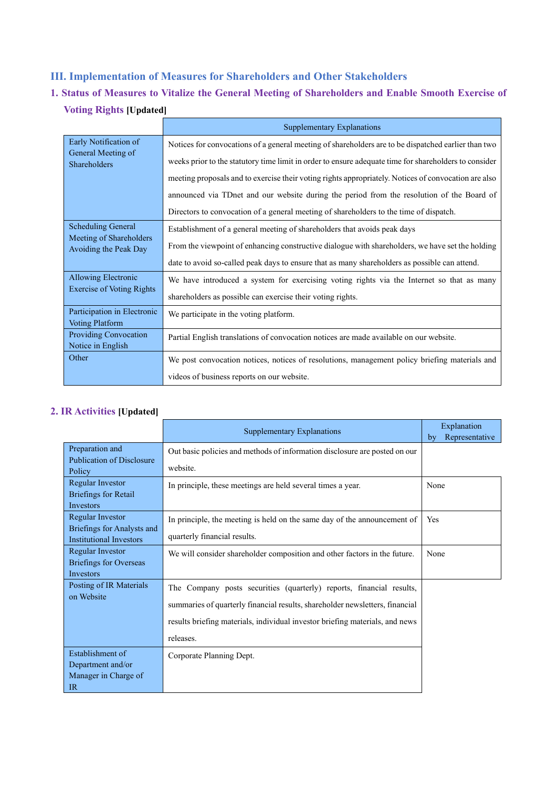# **III. Implementation of Measures for Shareholders and Other Stakeholders**

# **1. Status of Measures to Vitalize the General Meeting of Shareholders and Enable Smooth Exercise of Voting Rights [Updated]**

|                                                       | Supplementary Explanations                                                                            |
|-------------------------------------------------------|-------------------------------------------------------------------------------------------------------|
| Early Notification of                                 | Notices for convocations of a general meeting of shareholders are to be dispatched earlier than two   |
| General Meeting of<br>Shareholders                    | weeks prior to the statutory time limit in order to ensure adequate time for shareholders to consider |
|                                                       | meeting proposals and to exercise their voting rights appropriately. Notices of convocation are also  |
|                                                       | announced via TDnet and our website during the period from the resolution of the Board of             |
|                                                       | Directors to convocation of a general meeting of shareholders to the time of dispatch.                |
| <b>Scheduling General</b>                             | Establishment of a general meeting of shareholders that avoids peak days                              |
| Meeting of Shareholders<br>Avoiding the Peak Day      | From the viewpoint of enhancing constructive dialogue with shareholders, we have set the holding      |
|                                                       | date to avoid so-called peak days to ensure that as many shareholders as possible can attend.         |
| <b>Allowing Electronic</b>                            | We have introduced a system for exercising voting rights via the Internet so that as many             |
| <b>Exercise of Voting Rights</b>                      | shareholders as possible can exercise their voting rights.                                            |
| Participation in Electronic<br><b>Voting Platform</b> | We participate in the voting platform.                                                                |
| Providing Convocation<br>Notice in English            | Partial English translations of convocation notices are made available on our website.                |
| Other                                                 | We post convocation notices, notices of resolutions, management policy briefing materials and         |
|                                                       | videos of business reports on our website.                                                            |

# **2. IR Activities [Updated]**

|                                                                                  | Supplementary Explanations                                                                                                                                                                                                                        | Explanation<br>Representative<br>by |
|----------------------------------------------------------------------------------|---------------------------------------------------------------------------------------------------------------------------------------------------------------------------------------------------------------------------------------------------|-------------------------------------|
| Preparation and<br><b>Publication of Disclosure</b><br>Policy                    | Out basic policies and methods of information disclosure are posted on our<br>website.                                                                                                                                                            |                                     |
| Regular Investor<br><b>Briefings for Retail</b><br><b>Investors</b>              | In principle, these meetings are held several times a year.                                                                                                                                                                                       | None                                |
| Regular Investor<br>Briefings for Analysts and<br><b>Institutional Investors</b> | In principle, the meeting is held on the same day of the announcement of<br>quarterly financial results.                                                                                                                                          | Yes                                 |
| Regular Investor<br><b>Briefings for Overseas</b><br><b>Investors</b>            | We will consider shareholder composition and other factors in the future.                                                                                                                                                                         | None                                |
| Posting of IR Materials<br>on Website                                            | The Company posts securities (quarterly) reports, financial results,<br>summaries of quarterly financial results, shareholder newsletters, financial<br>results briefing materials, individual investor briefing materials, and news<br>releases. |                                     |
| Establishment of<br>Department and/or<br>Manager in Charge of<br>IR              | Corporate Planning Dept.                                                                                                                                                                                                                          |                                     |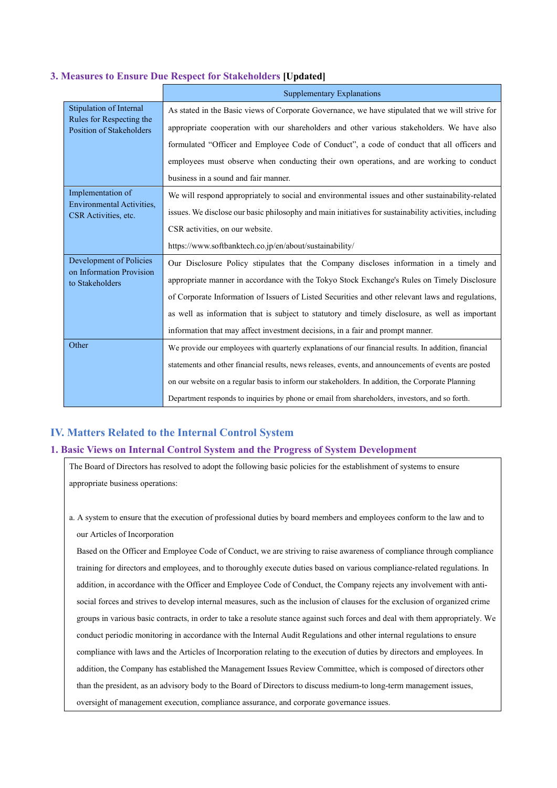## **3. Measures to Ensure Due Respect for Stakeholders [Updated]**

|                                                             | <b>Supplementary Explanations</b>                                                                      |  |
|-------------------------------------------------------------|--------------------------------------------------------------------------------------------------------|--|
| Stipulation of Internal                                     | As stated in the Basic views of Corporate Governance, we have stipulated that we will strive for       |  |
| Rules for Respecting the<br><b>Position of Stakeholders</b> | appropriate cooperation with our shareholders and other various stakeholders. We have also             |  |
|                                                             | formulated "Officer and Employee Code of Conduct", a code of conduct that all officers and             |  |
|                                                             | employees must observe when conducting their own operations, and are working to conduct                |  |
|                                                             | business in a sound and fair manner.                                                                   |  |
| Implementation of                                           | We will respond appropriately to social and environmental issues and other sustainability-related      |  |
| <b>Environmental Activities,</b><br>CSR Activities, etc.    | issues. We disclose our basic philosophy and main initiatives for sustainability activities, including |  |
|                                                             | CSR activities, on our website.                                                                        |  |
|                                                             | https://www.softbanktech.co.jp/en/about/sustainability/                                                |  |
| Development of Policies                                     | Our Disclosure Policy stipulates that the Company discloses information in a timely and                |  |
| on Information Provision<br>to Stakeholders                 | appropriate manner in accordance with the Tokyo Stock Exchange's Rules on Timely Disclosure            |  |
|                                                             | of Corporate Information of Issuers of Listed Securities and other relevant laws and regulations,      |  |
|                                                             | as well as information that is subject to statutory and timely disclosure, as well as important        |  |
|                                                             | information that may affect investment decisions, in a fair and prompt manner.                         |  |
| Other                                                       | We provide our employees with quarterly explanations of our financial results. In addition, financial  |  |
|                                                             | statements and other financial results, news releases, events, and announcements of events are posted  |  |
|                                                             | on our website on a regular basis to inform our stakeholders. In addition, the Corporate Planning      |  |
|                                                             | Department responds to inquiries by phone or email from shareholders, investors, and so forth.         |  |

## **IV. Matters Related to the Internal Control System**

## **1. Basic Views on Internal Control System and the Progress of System Development**

The Board of Directors has resolved to adopt the following basic policies for the establishment of systems to ensure appropriate business operations:

a. A system to ensure that the execution of professional duties by board members and employees conform to the law and to our Articles of Incorporation

Based on the Officer and Employee Code of Conduct, we are striving to raise awareness of compliance through compliance training for directors and employees, and to thoroughly execute duties based on various compliance-related regulations. In addition, in accordance with the Officer and Employee Code of Conduct, the Company rejects any involvement with antisocial forces and strives to develop internal measures, such as the inclusion of clauses for the exclusion of organized crime groups in various basic contracts, in order to take a resolute stance against such forces and deal with them appropriately. We conduct periodic monitoring in accordance with the Internal Audit Regulations and other internal regulations to ensure compliance with laws and the Articles of Incorporation relating to the execution of duties by directors and employees. In addition, the Company has established the Management Issues Review Committee, which is composed of directors other than the president, as an advisory body to the Board of Directors to discuss medium-to long-term management issues, oversight of management execution, compliance assurance, and corporate governance issues.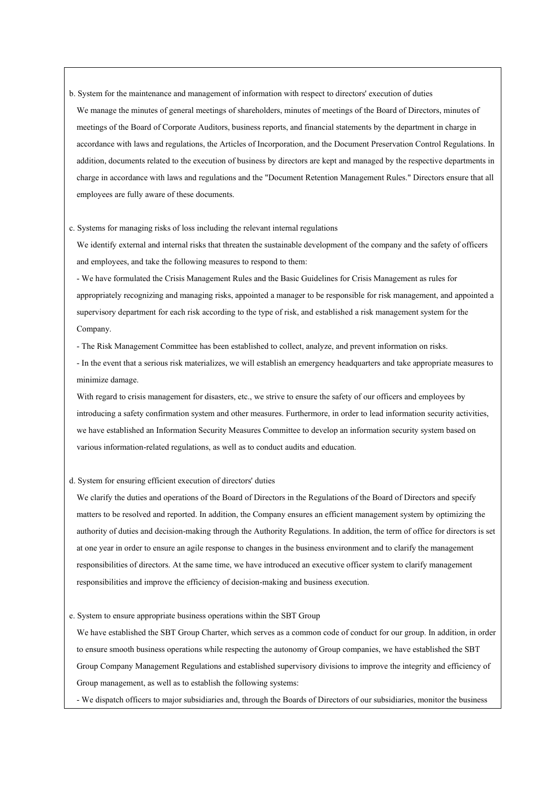b. System for the maintenance and management of information with respect to directors' execution of duties We manage the minutes of general meetings of shareholders, minutes of meetings of the Board of Directors, minutes of meetings of the Board of Corporate Auditors, business reports, and financial statements by the department in charge in accordance with laws and regulations, the Articles of Incorporation, and the Document Preservation Control Regulations. In addition, documents related to the execution of business by directors are kept and managed by the respective departments in charge in accordance with laws and regulations and the "Document Retention Management Rules." Directors ensure that all employees are fully aware of these documents.

c. Systems for managing risks of loss including the relevant internal regulations

We identify external and internal risks that threaten the sustainable development of the company and the safety of officers and employees, and take the following measures to respond to them:

- We have formulated the Crisis Management Rules and the Basic Guidelines for Crisis Management as rules for appropriately recognizing and managing risks, appointed a manager to be responsible for risk management, and appointed a supervisory department for each risk according to the type of risk, and established a risk management system for the Company.

- The Risk Management Committee has been established to collect, analyze, and prevent information on risks.

- In the event that a serious risk materializes, we will establish an emergency headquarters and take appropriate measures to minimize damage.

With regard to crisis management for disasters, etc., we strive to ensure the safety of our officers and employees by introducing a safety confirmation system and other measures. Furthermore, in order to lead information security activities, we have established an Information Security Measures Committee to develop an information security system based on various information-related regulations, as well as to conduct audits and education.

### d. System for ensuring efficient execution of directors' duties

We clarify the duties and operations of the Board of Directors in the Regulations of the Board of Directors and specify matters to be resolved and reported. In addition, the Company ensures an efficient management system by optimizing the authority of duties and decision-making through the Authority Regulations. In addition, the term of office for directors is set at one year in order to ensure an agile response to changes in the business environment and to clarify the management responsibilities of directors. At the same time, we have introduced an executive officer system to clarify management responsibilities and improve the efficiency of decision-making and business execution.

## e. System to ensure appropriate business operations within the SBT Group

We have established the SBT Group Charter, which serves as a common code of conduct for our group. In addition, in order to ensure smooth business operations while respecting the autonomy of Group companies, we have established the SBT Group Company Management Regulations and established supervisory divisions to improve the integrity and efficiency of Group management, as well as to establish the following systems:

- We dispatch officers to major subsidiaries and, through the Boards of Directors of our subsidiaries, monitor the business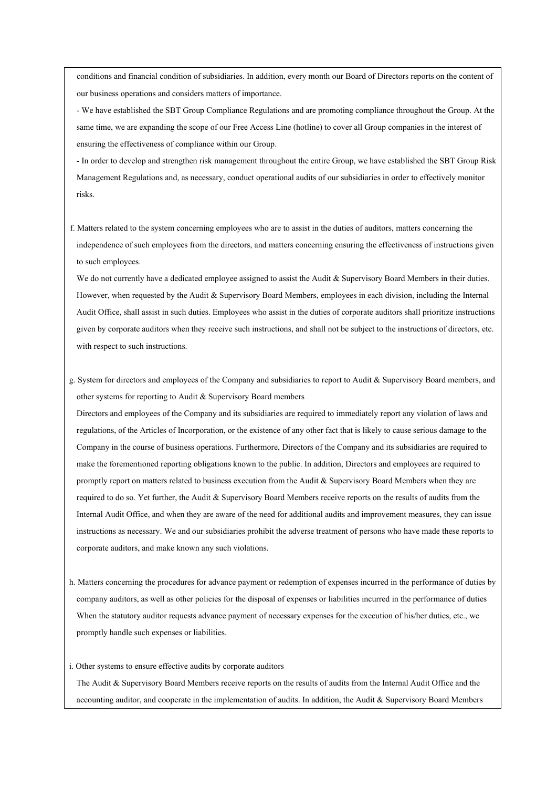conditions and financial condition of subsidiaries. In addition, every month our Board of Directors reports on the content of our business operations and considers matters of importance.

- We have established the SBT Group Compliance Regulations and are promoting compliance throughout the Group. At the same time, we are expanding the scope of our Free Access Line (hotline) to cover all Group companies in the interest of ensuring the effectiveness of compliance within our Group.

- In order to develop and strengthen risk management throughout the entire Group, we have established the SBT Group Risk Management Regulations and, as necessary, conduct operational audits of our subsidiaries in order to effectively monitor risks.

f. Matters related to the system concerning employees who are to assist in the duties of auditors, matters concerning the independence of such employees from the directors, and matters concerning ensuring the effectiveness of instructions given to such employees.

We do not currently have a dedicated employee assigned to assist the Audit & Supervisory Board Members in their duties. However, when requested by the Audit & Supervisory Board Members, employees in each division, including the Internal Audit Office, shall assist in such duties. Employees who assist in the duties of corporate auditors shall prioritize instructions given by corporate auditors when they receive such instructions, and shall not be subject to the instructions of directors, etc. with respect to such instructions.

g. System for directors and employees of the Company and subsidiaries to report to Audit & Supervisory Board members, and other systems for reporting to Audit & Supervisory Board members

Directors and employees of the Company and its subsidiaries are required to immediately report any violation of laws and regulations, of the Articles of Incorporation, or the existence of any other fact that is likely to cause serious damage to the Company in the course of business operations. Furthermore, Directors of the Company and its subsidiaries are required to make the forementioned reporting obligations known to the public. In addition, Directors and employees are required to promptly report on matters related to business execution from the Audit & Supervisory Board Members when they are required to do so. Yet further, the Audit & Supervisory Board Members receive reports on the results of audits from the Internal Audit Office, and when they are aware of the need for additional audits and improvement measures, they can issue instructions as necessary. We and our subsidiaries prohibit the adverse treatment of persons who have made these reports to corporate auditors, and make known any such violations.

h. Matters concerning the procedures for advance payment or redemption of expenses incurred in the performance of duties by company auditors, as well as other policies for the disposal of expenses or liabilities incurred in the performance of duties When the statutory auditor requests advance payment of necessary expenses for the execution of his/her duties, etc., we promptly handle such expenses or liabilities.

i. Other systems to ensure effective audits by corporate auditors

The Audit & Supervisory Board Members receive reports on the results of audits from the Internal Audit Office and the accounting auditor, and cooperate in the implementation of audits. In addition, the Audit & Supervisory Board Members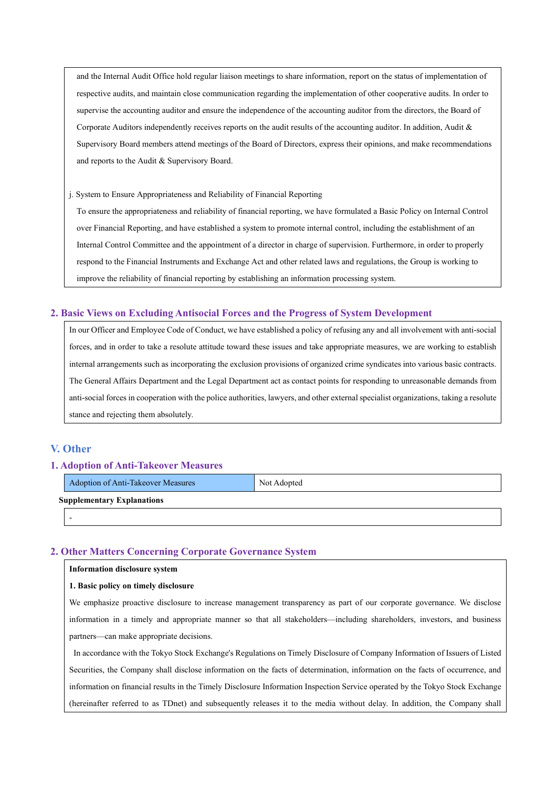and the Internal Audit Office hold regular liaison meetings to share information, report on the status of implementation of respective audits, and maintain close communication regarding the implementation of other cooperative audits. In order to supervise the accounting auditor and ensure the independence of the accounting auditor from the directors, the Board of Corporate Auditors independently receives reports on the audit results of the accounting auditor. In addition, Audit & Supervisory Board members attend meetings of the Board of Directors, express their opinions, and make recommendations and reports to the Audit & Supervisory Board.

j. System to Ensure Appropriateness and Reliability of Financial Reporting

To ensure the appropriateness and reliability of financial reporting, we have formulated a Basic Policy on Internal Control over Financial Reporting, and have established a system to promote internal control, including the establishment of an Internal Control Committee and the appointment of a director in charge of supervision. Furthermore, in order to properly respond to the Financial Instruments and Exchange Act and other related laws and regulations, the Group is working to improve the reliability of financial reporting by establishing an information processing system.

## **2. Basic Views on Excluding Antisocial Forces and the Progress of System Development**

In our Officer and Employee Code of Conduct, we have established a policy of refusing any and all involvement with anti-social forces, and in order to take a resolute attitude toward these issues and take appropriate measures, we are working to establish internal arrangements such as incorporating the exclusion provisions of organized crime syndicates into various basic contracts. The General Affairs Department and the Legal Department act as contact points for responding to unreasonable demands from anti-social forces in cooperation with the police authorities, lawyers, and other external specialist organizations, taking a resolute stance and rejecting them absolutely.

## **V. Other**

## **1. Adoption of Anti-Takeover Measures**

|                                   | Adoption of Anti-Takeover Measures | Not Adopted |  |  |  |  |
|-----------------------------------|------------------------------------|-------------|--|--|--|--|
| <b>Supplementary Explanations</b> |                                    |             |  |  |  |  |
|                                   | ۰                                  |             |  |  |  |  |

## **2. Other Matters Concerning Corporate Governance System**

### **Information disclosure system**

### **1. Basic policy on timely disclosure**

We emphasize proactive disclosure to increase management transparency as part of our corporate governance. We disclose information in a timely and appropriate manner so that all stakeholders—including shareholders, investors, and business partners—can make appropriate decisions.

In accordance with the Tokyo Stock Exchange's Regulations on Timely Disclosure of Company Information of Issuers of Listed Securities, the Company shall disclose information on the facts of determination, information on the facts of occurrence, and information on financial results in the Timely Disclosure Information Inspection Service operated by the Tokyo Stock Exchange (hereinafter referred to as TDnet) and subsequently releases it to the media without delay. In addition, the Company shall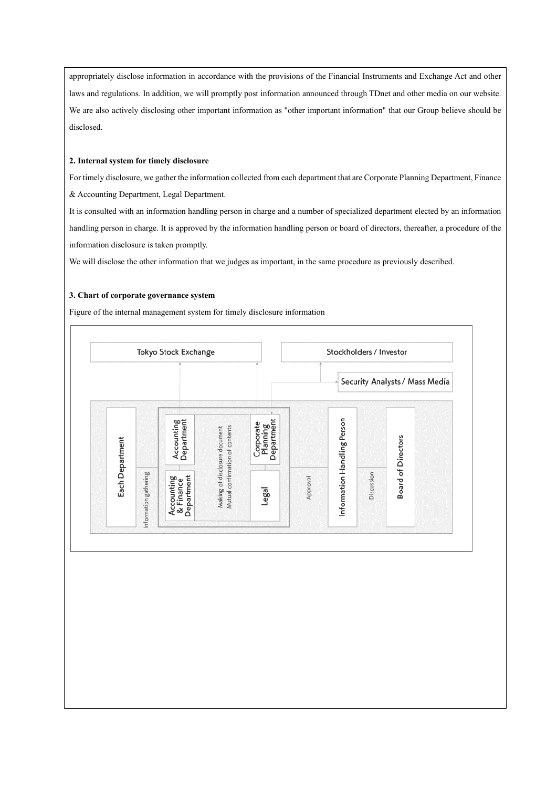appropriately disclose information in accordance with the provisions of the Financial Instruments and Exchange Act and other laws and regulations. In addition, we will promptly post information announced through TDnet and other media on our website. We are also actively disclosing other important information as "other important information" that our Group believe should be disclosed.

## **2. Internal system for timely disclosure**

For timely disclosure, we gather the information collected from each department that are Corporate Planning Department, Finance & Accounting Department, Legal Department.

It is consulted with an information handling person in charge and a number of specialized department elected by an information handling person in charge. It is approved by the information handling person or board of directors, thereafter, a procedure of the information disclosure is taken promptly.

We will disclose the other information that we judges as important, in the same procedure as previously described.

## **3. Chart of corporate governance system**

Figure of the internal management system for timely disclosure information